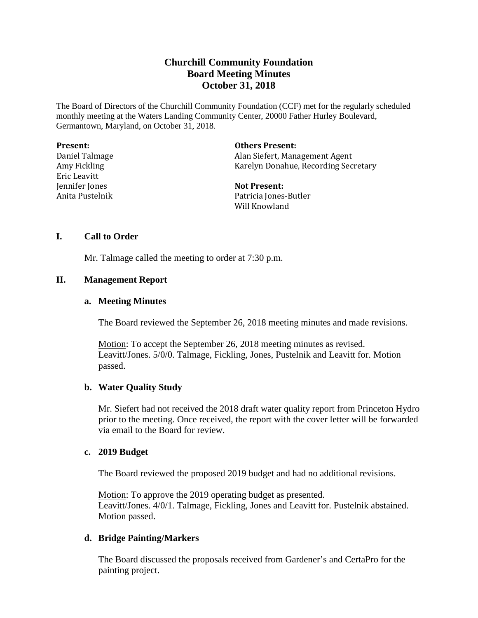# **Churchill Community Foundation Board Meeting Minutes October 31, 2018**

The Board of Directors of the Churchill Community Foundation (CCF) met for the regularly scheduled monthly meeting at the Waters Landing Community Center, 20000 Father Hurley Boulevard, Germantown, Maryland, on October 31, 2018.

| <b>Present:</b> | <b>Others Present:</b>               |
|-----------------|--------------------------------------|
| Daniel Talmage  | Alan Siefert, Management Agent       |
| Amy Fickling    | Karelyn Donahue, Recording Secretary |
| Eric Leavitt    |                                      |
| Jennifer Jones  | <b>Not Present:</b>                  |
| Anita Pustelnik | Patricia Jones-Butler                |
|                 | Will Knowland                        |

#### **I. Call to Order**

Mr. Talmage called the meeting to order at 7:30 p.m.

## **II. Management Report**

#### **a. Meeting Minutes**

The Board reviewed the September 26, 2018 meeting minutes and made revisions.

Motion: To accept the September 26, 2018 meeting minutes as revised. Leavitt/Jones. 5/0/0. Talmage, Fickling, Jones, Pustelnik and Leavitt for. Motion passed.

## **b. Water Quality Study**

Mr. Siefert had not received the 2018 draft water quality report from Princeton Hydro prior to the meeting. Once received, the report with the cover letter will be forwarded via email to the Board for review.

#### **c. 2019 Budget**

The Board reviewed the proposed 2019 budget and had no additional revisions.

Motion: To approve the 2019 operating budget as presented. Leavitt/Jones. 4/0/1. Talmage, Fickling, Jones and Leavitt for. Pustelnik abstained. Motion passed.

## **d. Bridge Painting/Markers**

The Board discussed the proposals received from Gardener's and CertaPro for the painting project.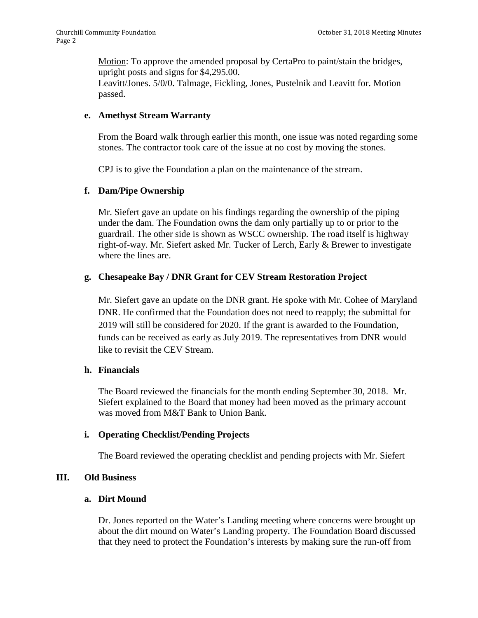Motion: To approve the amended proposal by CertaPro to paint/stain the bridges, upright posts and signs for \$4,295.00. Leavitt/Jones. 5/0/0. Talmage, Fickling, Jones, Pustelnik and Leavitt for. Motion

passed.

#### **e. Amethyst Stream Warranty**

From the Board walk through earlier this month, one issue was noted regarding some stones. The contractor took care of the issue at no cost by moving the stones.

CPJ is to give the Foundation a plan on the maintenance of the stream.

## **f. Dam/Pipe Ownership**

Mr. Siefert gave an update on his findings regarding the ownership of the piping under the dam. The Foundation owns the dam only partially up to or prior to the guardrail. The other side is shown as WSCC ownership. The road itself is highway right-of-way. Mr. Siefert asked Mr. Tucker of Lerch, Early & Brewer to investigate where the lines are.

## **g. Chesapeake Bay / DNR Grant for CEV Stream Restoration Project**

Mr. Siefert gave an update on the DNR grant. He spoke with Mr. Cohee of Maryland DNR. He confirmed that the Foundation does not need to reapply; the submittal for 2019 will still be considered for 2020. If the grant is awarded to the Foundation, funds can be received as early as July 2019. The representatives from DNR would like to revisit the CEV Stream.

#### **h. Financials**

The Board reviewed the financials for the month ending September 30, 2018. Mr. Siefert explained to the Board that money had been moved as the primary account was moved from M&T Bank to Union Bank.

#### **i. Operating Checklist/Pending Projects**

The Board reviewed the operating checklist and pending projects with Mr. Siefert

## **III. Old Business**

#### **a. Dirt Mound**

Dr. Jones reported on the Water's Landing meeting where concerns were brought up about the dirt mound on Water's Landing property. The Foundation Board discussed that they need to protect the Foundation's interests by making sure the run-off from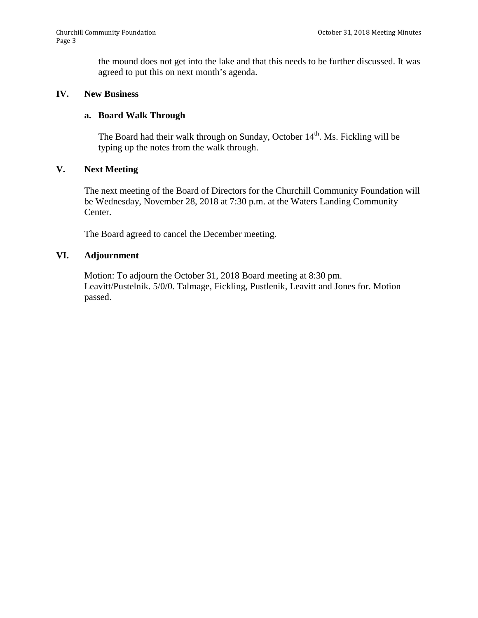the mound does not get into the lake and that this needs to be further discussed. It was agreed to put this on next month's agenda.

#### **IV. New Business**

#### **a. Board Walk Through**

The Board had their walk through on Sunday, October 14<sup>th</sup>. Ms. Fickling will be typing up the notes from the walk through.

#### **V. Next Meeting**

The next meeting of the Board of Directors for the Churchill Community Foundation will be Wednesday, November 28, 2018 at 7:30 p.m. at the Waters Landing Community Center.

The Board agreed to cancel the December meeting.

## **VI. Adjournment**

Motion: To adjourn the October 31, 2018 Board meeting at 8:30 pm. Leavitt/Pustelnik. 5/0/0. Talmage, Fickling, Pustlenik, Leavitt and Jones for. Motion passed.